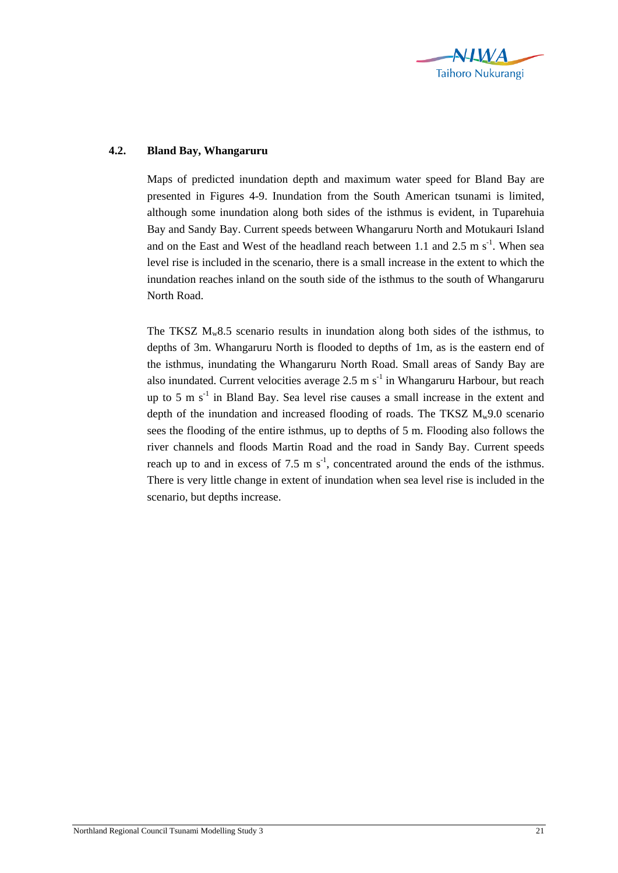

## **4.2. Bland Bay, Whangaruru**

Maps of predicted inundation depth and maximum water speed for Bland Bay are presented in Figures 4-9. Inundation from the South American tsunami is limited, although some inundation along both sides of the isthmus is evident, in Tuparehuia Bay and Sandy Bay. Current speeds between Whangaruru North and Motukauri Island and on the East and West of the headland reach between 1.1 and 2.5 m  $s^{-1}$ . When sea level rise is included in the scenario, there is a small increase in the extent to which the inundation reaches inland on the south side of the isthmus to the south of Whangaruru North Road.

The TKSZ  $M_w 8.5$  scenario results in inundation along both sides of the isthmus, to depths of 3m. Whangaruru North is flooded to depths of 1m, as is the eastern end of the isthmus, inundating the Whangaruru North Road. Small areas of Sandy Bay are also inundated. Current velocities average  $2.5 \text{ m s}^{-1}$  in Whangaruru Harbour, but reach up to 5 m  $s^{-1}$  in Bland Bay. Sea level rise causes a small increase in the extent and depth of the inundation and increased flooding of roads. The TKSZ  $M_w9.0$  scenario sees the flooding of the entire isthmus, up to depths of 5 m. Flooding also follows the river channels and floods Martin Road and the road in Sandy Bay. Current speeds reach up to and in excess of 7.5 m  $s^{-1}$ , concentrated around the ends of the isthmus. There is very little change in extent of inundation when sea level rise is included in the scenario, but depths increase.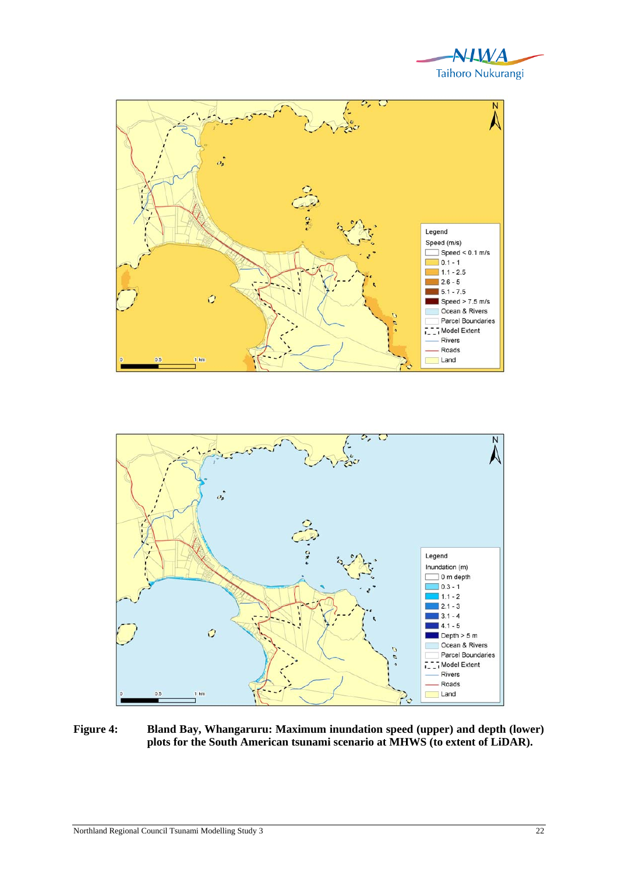





**Figure 4: Bland Bay, Whangaruru: Maximum inundation speed (upper) and depth (lower) plots for the South American tsunami scenario at MHWS (to extent of LiDAR).**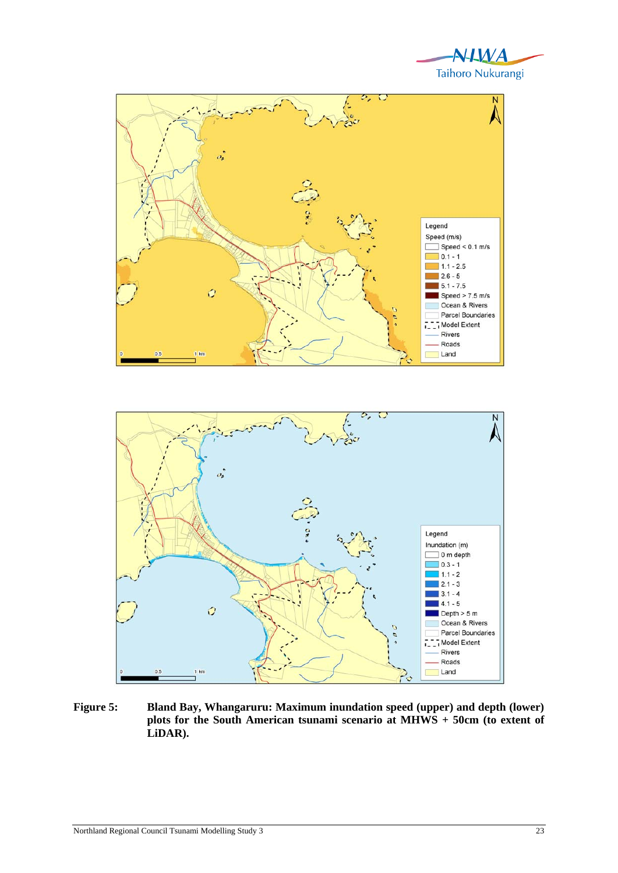



**Figure 5: Bland Bay, Whangaruru: Maximum inundation speed (upper) and depth (lower) plots for the South American tsunami scenario at MHWS + 50cm (to extent of LiDAR).**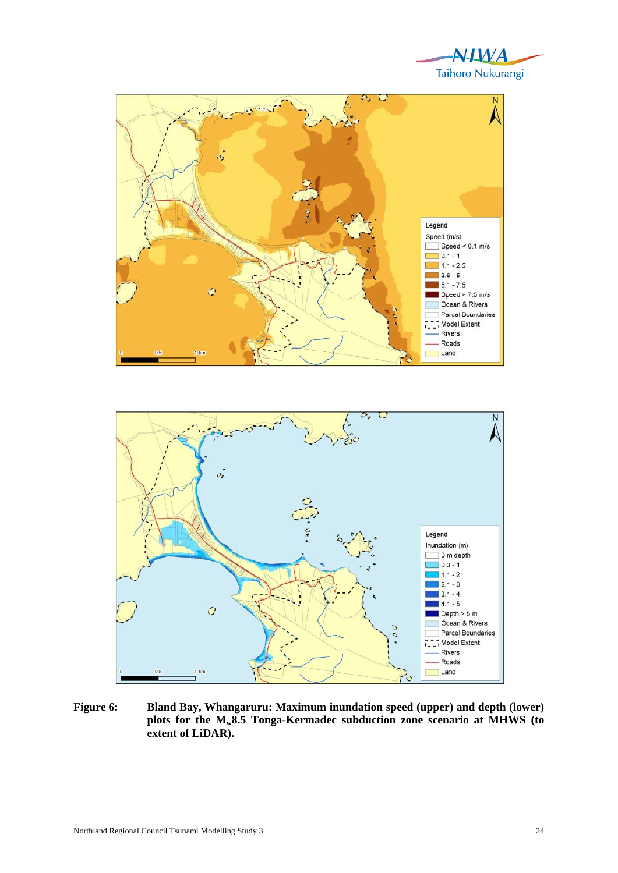





**Figure 6: Bland Bay, Whangaruru: Maximum inundation speed (upper) and depth (lower) plots for the Mw8.5 Tonga-Kermadec subduction zone scenario at MHWS (to extent of LiDAR).**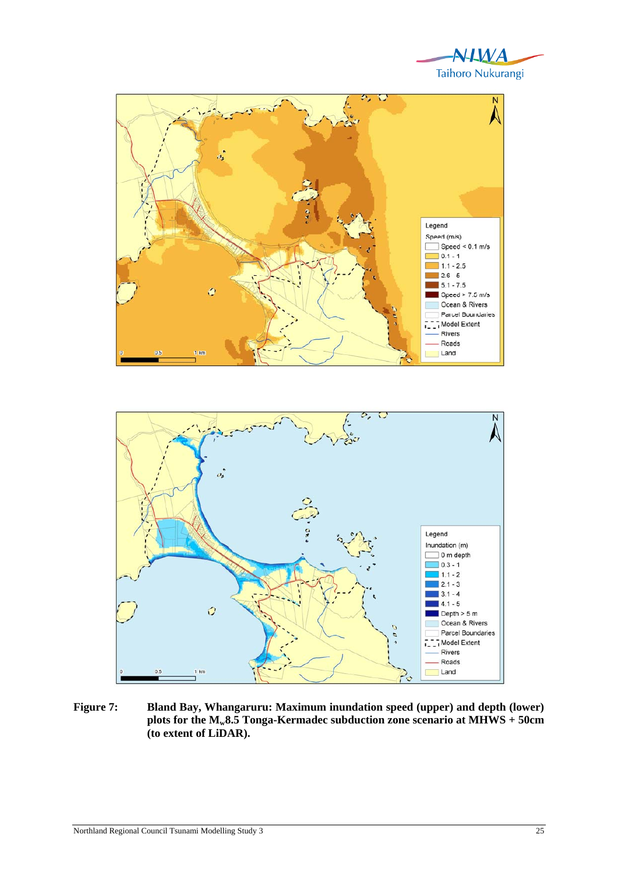





**Figure 7: Bland Bay, Whangaruru: Maximum inundation speed (upper) and depth (lower) plots for the Mw8.5 Tonga-Kermadec subduction zone scenario at MHWS + 50cm (to extent of LiDAR).**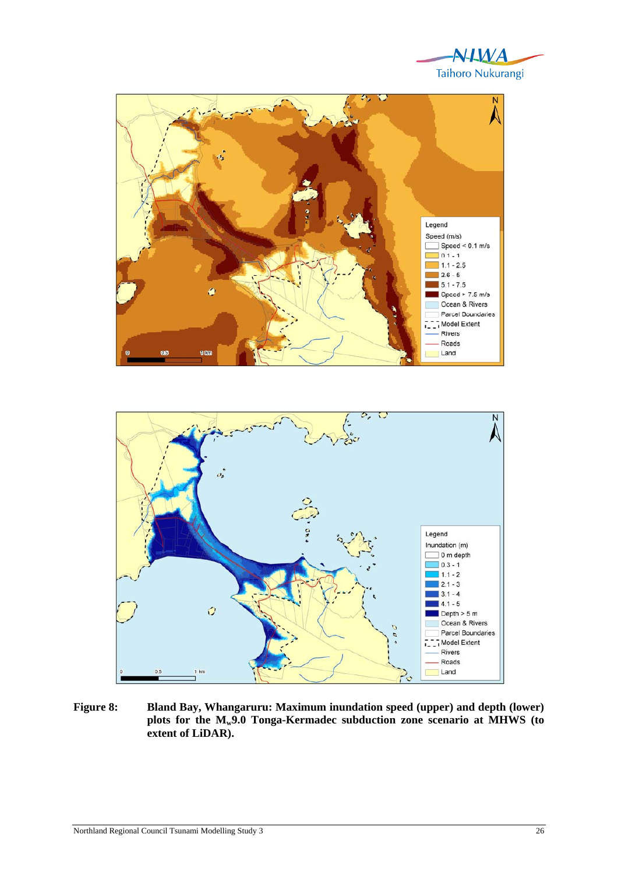





**Figure 8: Bland Bay, Whangaruru: Maximum inundation speed (upper) and depth (lower) plots for the Mw9.0 Tonga-Kermadec subduction zone scenario at MHWS (to extent of LiDAR).**